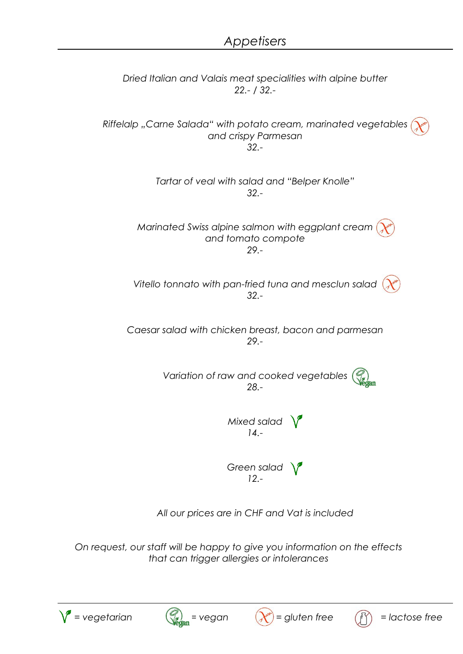

*All our prices are in CHF and Vat is included*

*On request, our staff will be happy to give you information on the effects that can trigger allergies or intolerances*





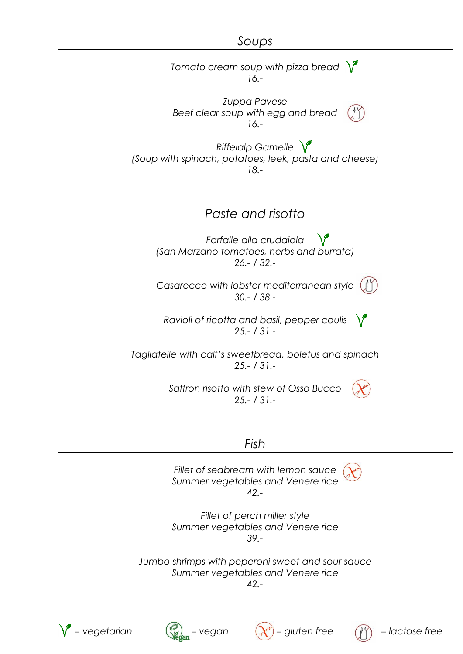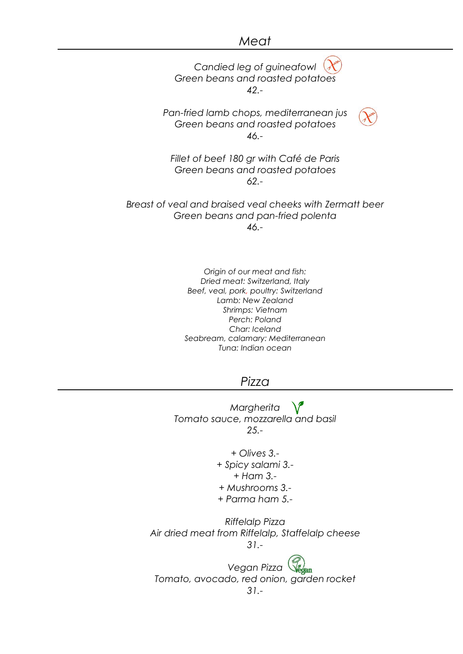## *Meat*

*Candied leg of guineafowl Green beans and roasted potatoes 42.- Pan-fried lamb chops, mediterranean jus Green beans and roasted potatoes 46.- Fillet of beef 180 gr with Café de Paris Green beans and roasted potatoes 62.- Breast of veal and braised veal cheeks with Zermatt beer Green beans and pan-fried polenta 46.-*

> *Origin of our meat and fish: Dried meat: Switzerland, Italy Beef, veal, pork, poultry: Switzerland Lamb: New Zealand Shrimps: Vietnam Perch: Poland Char: Iceland Seabream, calamary: Mediterranean Tuna: Indian ocean*

## *Pizza*

*Margherita Tomato sauce, mozzarella and basil 25.-*

> *+ Olives 3.- + Spicy salami 3.- + Ham 3.- + Mushrooms 3.- + Parma ham 5.-*

*Riffelalp Pizza Air dried meat from Riffelalp, Staffelalp cheese 31.-*

*Vegan Pizza Tomato, avocado, red onion, garden rocket 31.-*